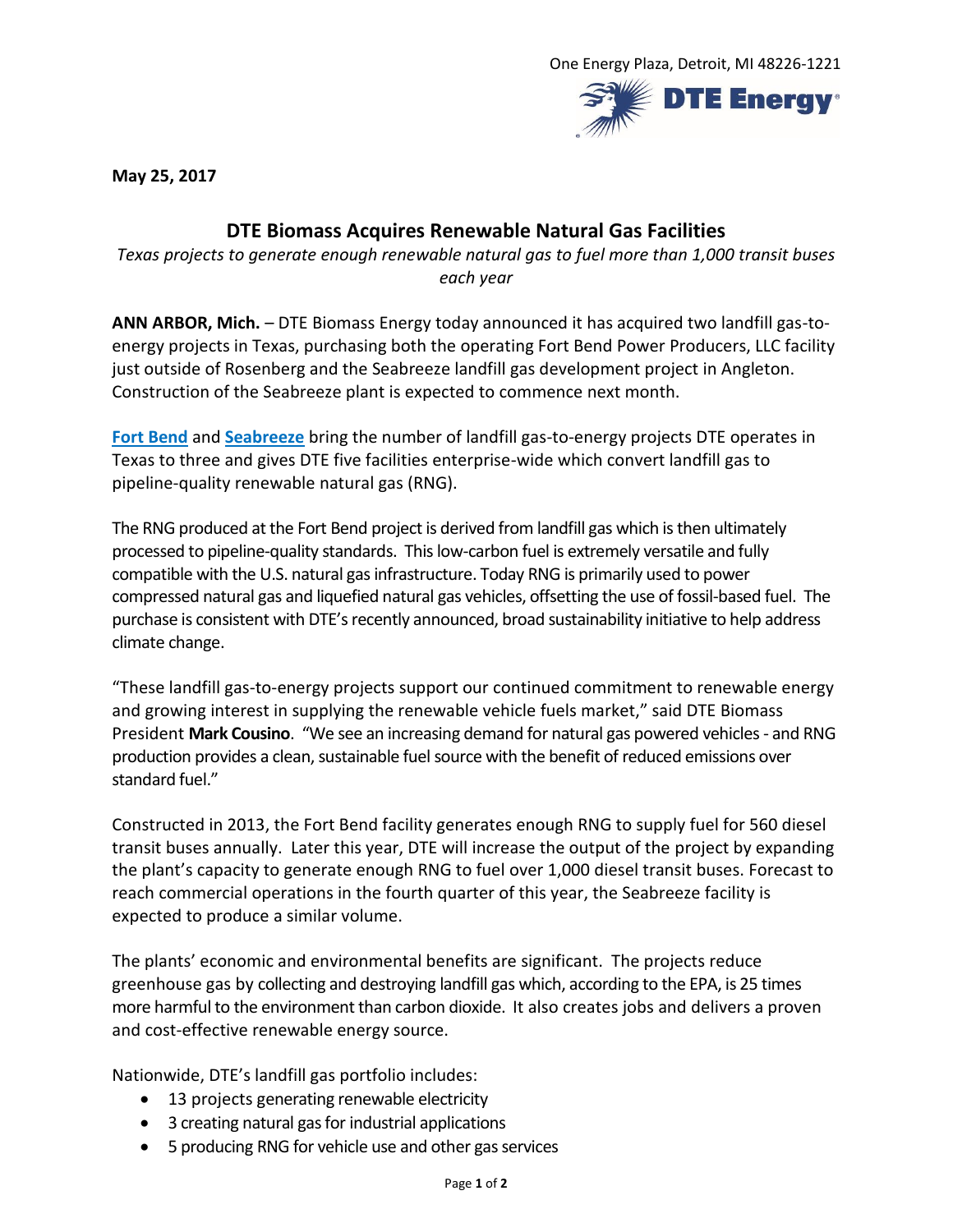

**May 25, 2017**

## **DTE Biomass Acquires Renewable Natural Gas Facilities**

*Texas projects to generate enough renewable natural gas to fuel more than 1,000 transit buses each year*

**ANN ARBOR, Mich.** – DTE Biomass Energy today announced it has acquired two landfill gas-toenergy projects in Texas, purchasing both the operating Fort Bend Power Producers, LLC facility just outside of Rosenberg and the Seabreeze landfill gas development project in Angleton. Construction of the Seabreeze plant is expected to commence next month.

**[Fort Bend](https://dtepowerandindustrial.com/project/fort-bend-power-producers-llc/)** and **[Seabreeze](https://dtepowerandindustrial.com/project/seabreeze-energy-producers-llc/)** bring the number of landfill gas-to-energy projects DTE operates in Texas to three and gives DTE five facilities enterprise-wide which convert landfill gas to pipeline-quality renewable natural gas (RNG).

The RNG produced at the Fort Bend project is derived from landfill gas which is then ultimately processed to pipeline-quality standards. This low-carbon fuel is extremely versatile and fully compatible with the U.S. natural gas infrastructure. Today RNG is primarily used to power compressed natural gas and liquefied natural gas vehicles, offsetting the use of fossil-based fuel. The purchase is consistent with DTE's recently announced, broad sustainability initiative to help address climate change.

"These landfill gas-to-energy projects support our continued commitment to renewable energy and growing interest in supplying the renewable vehicle fuels market," said DTE Biomass President **Mark Cousino**."We see an increasing demand for natural gas powered vehicles - and RNG production provides a clean, sustainable fuel source with the benefit of reduced emissions over standard fuel."

Constructed in 2013, the Fort Bend facility generates enough RNG to supply fuel for 560 diesel transit buses annually. Later this year, DTE will increase the output of the project by expanding the plant's capacity to generate enough RNG to fuel over 1,000 diesel transit buses. Forecast to reach commercial operations in the fourth quarter of this year, the Seabreeze facility is expected to produce a similar volume.

The plants' economic and environmental benefits are significant. The projects reduce greenhouse gas by collecting and destroying landfill gas which, according to the EPA, is 25 times more harmful to the environment than carbon dioxide. It also creates jobs and delivers a proven and cost-effective renewable energy source.

Nationwide, DTE's landfill gas portfolio includes:

- 13 projects generating renewable electricity
- 3 creating natural gas for industrial applications
- 5 producing RNG for vehicle use and other gas services